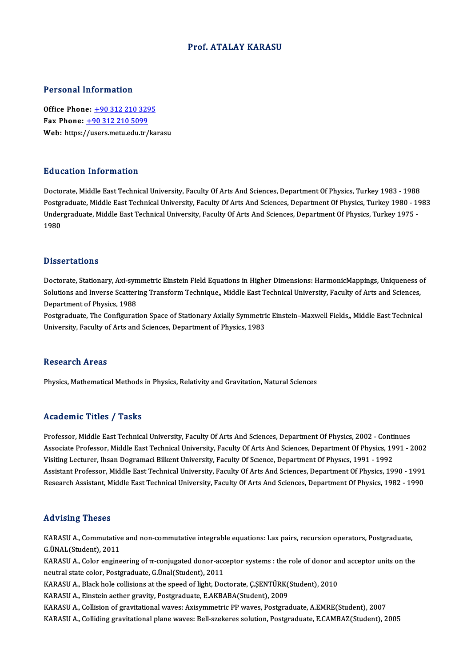# Prof. ATALAY KARASU

## Personal Information

Office Phone: +90 312 210 3295 Fax Phone:  $+903122105099$ Web: https:/[/users.metu.edu.tr](tel:+90 312 210 5099)[/ka](tel:+90 312 210 3295)rasu

# Education Information

Doctorate, Middle East Technical University, Faculty Of Arts And Sciences, Department Of Physics, Turkey 1983 - 1988 Puncation Timot Inderon<br>Doctorate, Middle East Technical University, Faculty Of Arts And Sciences, Department Of Physics, Turkey 1983 - 1988<br>Postgraduate, Middle East Technical University, Faculty Of Arts And Sciences, Dep Doctorate, Middle East Technical University, Faculty Of Arts And Sciences, Department Of Physics, Turkey 1983 - 1988<br>Postgraduate, Middle East Technical University, Faculty Of Arts And Sciences, Department Of Physics, Turk Postgı<br>Under<br>1980 1980<br>Dissertations

Dissertations<br>Doctorate, Stationary, Axi-symmetric Einstein Field Equations in Higher Dimensions: HarmonicMappings, Uniqueness of<br>Solutions and Inverse Scattering Transform Technique, Middle Fest Technical University, Fesu S isseer carrems<br>Doctorate, Stationary, Axi-symmetric Einstein Field Equations in Higher Dimensions: HarmonicMappings, Uniqueness c<br>Solutions and Inverse Scattering Transform Technique,, Middle East Technical University, F Doctorate, Stationary, Axi-syn<br>Solutions and Inverse Scatteri<br>Department of Physics, 1988<br>Postanaduate The Configurati Solutions and Inverse Scattering Transform Technique,, Middle East Technical University, Faculty of Arts and Sciences,<br>Department of Physics, 1988<br>Postgraduate, The Configuration Space of Stationary Axially Symmetric Einst

Department of Physics, 1988<br>Postgraduate, The Configuration Space of Stationary Axially Symmetri<br>University, Faculty of Arts and Sciences, Department of Physics, 1983 University, Faculty of Arts and Sciences, Department of Physics, 1983<br>Research Areas

Physics, Mathematical Methods in Physics, Relativity and Gravitation, Natural Sciences

# Academic Titles / Tasks

Academic Titles / Tasks<br>Professor, Middle East Technical University, Faculty Of Arts And Sciences, Department Of Physics, 2002 - Continues<br>Associate Professor, Middle Fost Technical University, Faculty Of Arts And Sciences Associate Artics / Adolfs<br>Professor, Middle East Technical University, Faculty Of Arts And Sciences, Department Of Physics, 2002 - Continues<br>Associate Professor, Middle East Technical University, Faculty Of Arts And Scienc Professor, Middle East Technical University, Faculty Of Arts And Sciences, Department Of Physics, 2002 - Conti<br>Associate Professor, Middle East Technical University, Faculty Of Arts And Sciences, Department Of Physics, 19<br> Associate Professor, Middle East Technical University, Faculty Of Arts And Sciences, Department Of Physics, 1991 - 2002<br>Visiting Lecturer, Ihsan Dogramaci Bilkent University, Faculty Of Science, Department Of Physics, 1991 Visiting Lecturer, Ihsan Dogramaci Bilkent University, Faculty Of Science, Department Of Physics, 1991 - 1992<br>Assistant Professor, Middle East Technical University, Faculty Of Arts And Sciences, Department Of Physics, 1990 Research Assistant, Middle East Technical University, Faculty Of Arts And Sciences, Department Of Physics, 1982 - 1990<br>Advising Theses

KARASU A., Commutative and non-commutative integrable equations: Lax pairs, recursion operators, Postgraduate, G.ÜNAL(Student),2011 KARASU A., Commutative and non-commutative integrable equations: Lax pairs, recursion operators, Postgraduate,<br>G.ÜNAL(Student), 2011<br>KARASU A., Color engineering of π-conjugated donor-acceptor systems : the role of donor

G.ÜNAL(Student), 2011<br>KARASU A., Color engineering of π-conjugated donor-acc<br>neutral state color, Postgraduate, G.Ünal(Student), 2011<br>KARASU A., Plask hele collisions at the speed of light. Dec KARASU A., Color engineering of π-conjugated donor-acceptor systems : the role of donor ar<br>neutral state color, Postgraduate, G.Ünal(Student), 2011<br>KARASU A., Black hole collisions at the speed of light, Doctorate, Ç.ŞENT neutral state color, Postgraduate, G.Ünal(Student), 2011<br>KARASU A., Black hole collisions at the speed of light, Doctorate, Ç.ŞENTÜRK(:<br>KARASU A., Einstein aether gravity, Postgraduate, E.AKBABA(Student), 2009<br>KARASU A., C

KARASU A., Einstein aether gravity, Postgraduate, E.AKBABA(Student), 2009<br>KARASU A., Collision of gravitational waves: Axisymmetric PP waves, Postgraduate, A.EMRE(Student), 2007

KARASU A., Colliding gravitational plane waves: Bell-szekeres solution, Postgraduate, E.CAMBAZ(Student), 2005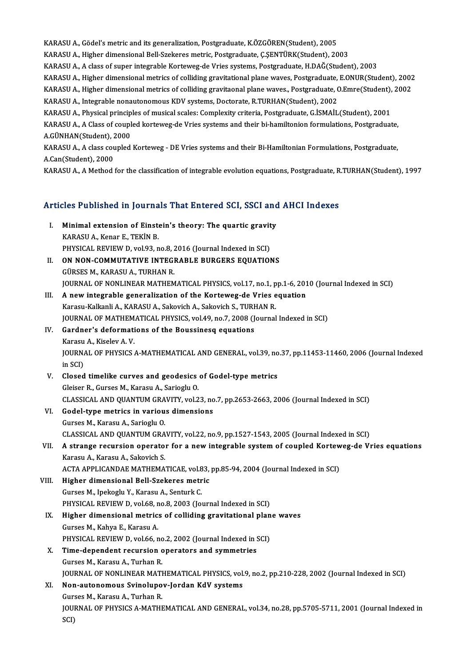KARASU A., Gödel's metric and its generalization, Postgraduate, K.ÖZGÖREN(Student), 2005 KARASU A., Higher dimensional Bell-Szekeres metric, Postgraduate, Ç.ŞENTÜRK(Student), 2003 KARASU A., A class of super integrable Korteweg-de Vries systems, Postgraduate, H.DAĞ(Student), 2003 KARASU A., Higher dimensional Bell-Szekeres metric, Postgraduate, Ç.ŞENTÜRK(Student), 2003<br>KARASU A., A class of super integrable Korteweg-de Vries systems, Postgraduate, H.DAĞ(Student), 2003<br>KARASU A., Higher dimensional KARASU A., A class of super integrable Korteweg-de Vries systems, Postgraduate, H.DAĞ(Student), 2003<br>KARASU A., Higher dimensional metrics of colliding gravitational plane waves, Postgraduate, E.ONUR(Student), 2002<br>KARASU KARASU A., Higher dimensional metrics of colliding gravitational plane waves, Postgraduate, <br>KARASU A., Higher dimensional metrics of colliding gravitaonal plane waves., Postgraduate, (<br>KARASU A., Integrable nonautonomous KARASU A., Higher dimensional metrics of colliding gravitaonal plane waves., Postgraduate, O.Emre(Student), 2002<br>KARASU A., Integrable nonautonomous KDV systems, Doctorate, R.TURHAN(Student), 2002 KARASU A., A Class of coupled korteweg-de Vries systems and their bi-hamiltonion formulations, Postgraduate,<br>A.GÜNHAN(Student), 2000 KARASU A., Physical principles of musical scales: Complexity criteria, Postgraduate, G.İSMAİL(Student), 2001 KARASU A., A Class of coupled korteweg-de Vries systems and their bi-hamiltonion formulations, Postgraduate,<br>A.GÜNHAN(Student), 2000<br>KARASU A., A class coupled Korteweg - DE Vries systems and their Bi-Hamiltonian Formulati A.GÜNHAN(Student), 2<br>KARASU A., A class cou<br>A.Can(Student), 2000<br>KARASU A. A Mathod : KARASU A., A class coupled Korteweg - DE Vries systems and their Bi-Hamiltonian Formulations, Postgraduate,<br>A.Can(Student), 2000<br>KARASU A., A Method for the classification of integrable evolution equations, Postgraduate, R

# KARASU A., A Method for the classification of integrable evolution equations, Postgraduate, K<br>Articles Published in Journals That Entered SCI, SSCI and AHCI Indexes

- rticles Published in Journals That Entered SCI, SSCI and<br>I. Minimal extension of Einstein's theory: The quartic gravity<br>KARASUA Kener E. TEKIN P KES TUSHSHEU III JOUTHU<br>Minimal extension of Einste<br>KARASU A., Kenar E., TEKİN B.<br>BUVSICAL BEVIEW D. VOL03. B Minimal extension of Einstein's theory: The quartic gravit<br>KARASU A., Kenar E., TEKİN B.<br>PHYSICAL REVIEW D, vol.93, no.8, 2016 (Journal Indexed in SCI)<br>ON NON COMMUTATIVE INTECRABLE BURGERS FOUATION KARASU A., Kenar E., TEKİN B.<br>PHYSICAL REVIEW D, vol.93, no.8, 2016 (Journal Indexed in SCI)<br>II. ON NON-COMMUTATIVE INTEGRABLE BURGERS EQUATIONS<br>GÜRSES M., KARASU A., TURHAN R. PHYSICAL REVIEW D, vol.93, no.8, 2016 (Journal Indexed in SCI)
- JOURNAL OF NONLINEAR MATHEMATICAL PHYSICS, vol.17, no.1, pp.1-6, 2010 (Journal Indexed in SCI) GÜRSES M., KARASU A., TURHAN R.<br>JOURNAL OF NONLINEAR MATHEMATICAL PHYSICS, vol.17, no.1, pp.1-6, 201<br>III. A new integrable generalization of the Korteweg-de Vries equation<br>Karasu Kalkanij A. KARASU A. Sakayish A. Sakayish
- JOURNAL OF NONLINEAR MATHEMATICAL PHYSICS, vol.17, no.1, p<br>A new integrable generalization of the Korteweg-de Vries e<br>Karasu-Kalkanli A., KARASU A., Sakovich A., Sakovich S., TURHAN R.<br>JOUPMAL OF MATHEMATICAL PHYSICS, vol. A new integrable generalization of the Korteweg-de Vries equation<br>Karasu-Kalkanli A., KARASU A., Sakovich A., Sakovich S., TURHAN R.<br>JOURNAL OF MATHEMATICAL PHYSICS, vol.49, no.7, 2008 (Journal Indexed in SCI)<br>Cardnar's de Karasu-Kalkanli A., KARASU A., Sakovich A., Sakovich S., TUR<br>JOURNAL OF MATHEMATICAL PHYSICS, vol.49, no.7, 2008 (J<br>IV. Gardner's deformations of the Boussinesq equations<br>Karasu A. Kisolay A. V.
- **JOURNAL OF MATHEM<br>Gardner's deformati<br>Karasu A., Kiselev A. V.<br>JOUPNAL OF PHYSICS** IV. Gardner's deformations of the Boussinesq equations<br>Karasu A., Kiselev A. V.<br>JOURNAL OF PHYSICS A-MATHEMATICAL AND GENERAL, vol.39, no.37, pp.11453-11460, 2006 (Journal Indexed<br>in SCI) Karasu A, Kiselev A V
- JOURNAL OF PHYSICS A-MATHEMATICAL AND GENERAL, vol.39, no<br>in SCI)<br>V. Closed timelike curves and geodesics of Godel-type metrics<br>Claiser P. Curses M. Karsey A. Sariaghy O. in SCI)<br>Closed timelike curves and geodesics<br>Gleiser R., Gurses M., Karasu A., Sarioglu O.<br>CLASSICAL AND QUANTUM CRAVITY vol 2 Closed timelike curves and geodesics of Godel-type metrics<br>Gleiser R., Gurses M., Karasu A., Sarioglu O.<br>CLASSICAL AND QUANTUM GRAVITY, vol.23, no.7, pp.2653-2663, 2006 (Journal Indexed in SCI)<br>Codel tune metries in variou Gleiser R., Gurses M., Karasu A., Sarioglu O.<br>CLASSICAL AND QUANTUM GRAVITY, vol.23, no<br>VI. Godel-type metrics in various dimensions<br>Gurses M., Karasu A., Sarioglu O.
- CLASSICAL AND QUANTUM GRA<br>Godel-type metrics in variou<br>Gurses M., Karasu A., Sarioglu O.<br>GLASSICAL AND QUANTUM CRA Godel-type metrics in various dimensions<br>Gurses M., Karasu A., Sarioglu O.<br>CLASSICAL AND QUANTUM GRAVITY, vol.22, no.9, pp.1527-1543, 2005 (Journal Indexed in SCI)<br>A strange requesion energian for a new integrable system o Gurses M., Karasu A., Sarioglu O.<br>CLASSICAL AND QUANTUM GRAVITY, vol.22, no.9, pp.1527-1543, 2005 (Journal Indexed in SCI)<br>VII. A strange recursion operator for a new integrable system of coupled Korteweg-de Vries equation
- CLASSICAL AND QUANTUM GRA<br>**A strange recursion operato**:<br>Karasu A., Karasu A., Sakovich S.<br>ACTA APPLICANDAE MATUEMA: A strange recursion operator for a new integrable system of coupled Kortew<br>Karasu A., Karasu A., Sakovich S.<br>ACTA APPLICANDAE MATHEMATICAE, vol.83, pp.85-94, 2004 (Journal Indexed in SCI)<br>Higher dimensional Pell Srekeres m Karasu A., Karasu A., Sakovich S.<br>ACTA APPLICANDAE MATHEMATICAE, vol.83, pp.85-94, 2004 (Journal Indexed in SCI)<br>VIII. Higher dimensional Bell-Szekeres metric
- Gurses M., Ipekoglu Y., Karasu A., Senturk C. PHYSICAL REVIEW D, vol.68, no.8, 2003 (Journal Indexed in SCI) Gurses M., Ipekoglu Y., Karasu A., Senturk C.<br>PHYSICAL REVIEW D, vol.68, no.8, 2003 (Journal Indexed in SCI)<br>IX. Higher dimensional metrics of colliding gravitational plane waves<br>Curses M. Kabya E. Karasu A.
- PHYSICAL REVIEW D, vol.68, n<br>Higher dimensional metric:<br>Gurses M., Kahya E., Karasu A.<br>PHYSICAL PEVIEW D, vol.66, n Higher dimensional metrics of colliding gravitational plan<br>Gurses M., Kahya E., Karasu A.<br>PHYSICAL REVIEW D, vol.66, no.2, 2002 (Journal Indexed in SCI)<br>Time dependent requision operators and summatries Gurses M., Kahya E., Karasu A.<br>PHYSICAL REVIEW D, vol.66, no.2, 2002 (Journal Indexed in S.<br>X. Time-dependent recursion operators and symmetries<br>Curses M. Karasu A. Turban P.
- PHYSICAL REVIEW D, vol.66, no<br>Time-dependent recursion c<br>Gurses M., Karasu A., Turhan R.<br>JOUPNAL OF NONI INFAR MATI Time-dependent recursion operators and symmetries<br>Gurses M., Karasu A., Turhan R.<br>JOURNAL OF NONLINEAR MATHEMATICAL PHYSICS, vol.9, no.2, pp.210-228, 2002 (Journal Indexed in SCI)<br>Nen eutenemeus Syineluney Jordan KdV syste Gurses M., Karasu A., Turhan R.<br>JOURNAL OF NONLINEAR MATHEMATICAL PHYSICS, vol<br>XI. **Non-autonomous Svinolupov-Jordan KdV systems**<br>Gurses M., Karasu A., Turhan R.
- **JOURNAL OF NONLINEAR MATH<br>Non-autonomous Svinolupo<br>Gurses M., Karasu A., Turhan R.<br>JOUPNAL OF PHYSICS A MATHI** Non-autonomous Svinolupov-Jordan KdV systems<br>Gurses M., Karasu A., Turhan R.<br>JOURNAL OF PHYSICS A-MATHEMATICAL AND GENERAL, vol.34, no.28, pp.5705-5711, 2001 (Journal Indexed in<br>SCD Gur:<br>JOUI<br>SCI)